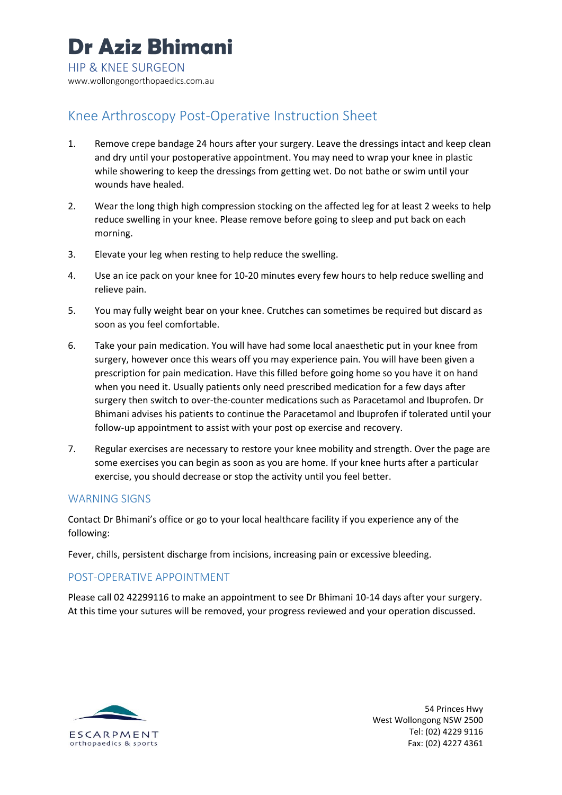## Knee Arthroscopy Post-Operative Instruction Sheet

- 1. Remove crepe bandage 24 hours after your surgery. Leave the dressings intact and keep clean and dry until your postoperative appointment. You may need to wrap your knee in plastic while showering to keep the dressings from getting wet. Do not bathe or swim until your wounds have healed.
- 2. Wear the long thigh high compression stocking on the affected leg for at least 2 weeks to help reduce swelling in your knee. Please remove before going to sleep and put back on each morning.
- 3. Elevate your leg when resting to help reduce the swelling.
- 4. Use an ice pack on your knee for 10-20 minutes every few hours to help reduce swelling and relieve pain.
- 5. You may fully weight bear on your knee. Crutches can sometimes be required but discard as soon as you feel comfortable.
- 6. Take your pain medication. You will have had some local anaesthetic put in your knee from surgery, however once this wears off you may experience pain. You will have been given a prescription for pain medication. Have this filled before going home so you have it on hand when you need it. Usually patients only need prescribed medication for a few days after surgery then switch to over-the-counter medications such as Paracetamol and Ibuprofen. Dr Bhimani advises his patients to continue the Paracetamol and Ibuprofen if tolerated until your follow-up appointment to assist with your post op exercise and recovery.
- 7. Regular exercises are necessary to restore your knee mobility and strength. Over the page are some exercises you can begin as soon as you are home. If your knee hurts after a particular exercise, you should decrease or stop the activity until you feel better.

## WARNING SIGNS

Contact Dr Bhimani's office or go to your local healthcare facility if you experience any of the following:

Fever, chills, persistent discharge from incisions, increasing pain or excessive bleeding.

## POST-OPERATIVE APPOINTMENT

Please call 02 42299116 to make an appointment to see Dr Bhimani 10-14 days after your surgery. At this time your sutures will be removed, your progress reviewed and your operation discussed.



54 Princes Hwy West Wollongong NSW 2500 Tel: (02) 4229 9116 Fax: (02) 4227 4361